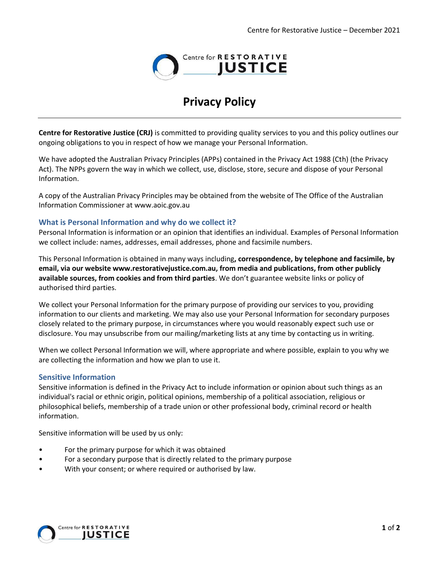

# **Privacy Policy**

**Centre for Restorative Justice (CRJ)** is committed to providing quality services to you and this policy outlines our ongoing obligations to you in respect of how we manage your Personal Information.

We have adopted the Australian Privacy Principles (APPs) contained in the Privacy Act 1988 (Cth) (the Privacy Act). The NPPs govern the way in which we collect, use, disclose, store, secure and dispose of your Personal Information.

A copy of the Australian Privacy Principles may be obtained from the website of The Office of the Australian Information Commissioner at www.aoic.gov.au

### **What is Personal Information and why do we collect it?**

Personal Information is information or an opinion that identifies an individual. Examples of Personal Information we collect include: names, addresses, email addresses, phone and facsimile numbers.

This Personal Information is obtained in many ways including**, correspondence, by telephone and facsimile, by email, via our website www.restorativejustice.com.au, from media and publications, from other publicly available sources, from cookies and from third parties**. We don't guarantee website links or policy of authorised third parties.

We collect your Personal Information for the primary purpose of providing our services to you, providing information to our clients and marketing. We may also use your Personal Information for secondary purposes closely related to the primary purpose, in circumstances where you would reasonably expect such use or disclosure. You may unsubscribe from our mailing/marketing lists at any time by contacting us in writing.

When we collect Personal Information we will, where appropriate and where possible, explain to you why we are collecting the information and how we plan to use it.

#### **Sensitive Information**

Sensitive information is defined in the Privacy Act to include information or opinion about such things as an individual's racial or ethnic origin, political opinions, membership of a political association, religious or philosophical beliefs, membership of a trade union or other professional body, criminal record or health information.

Sensitive information will be used by us only:

- For the primary purpose for which it was obtained
- For a secondary purpose that is directly related to the primary purpose
- With your consent; or where required or authorised by law.